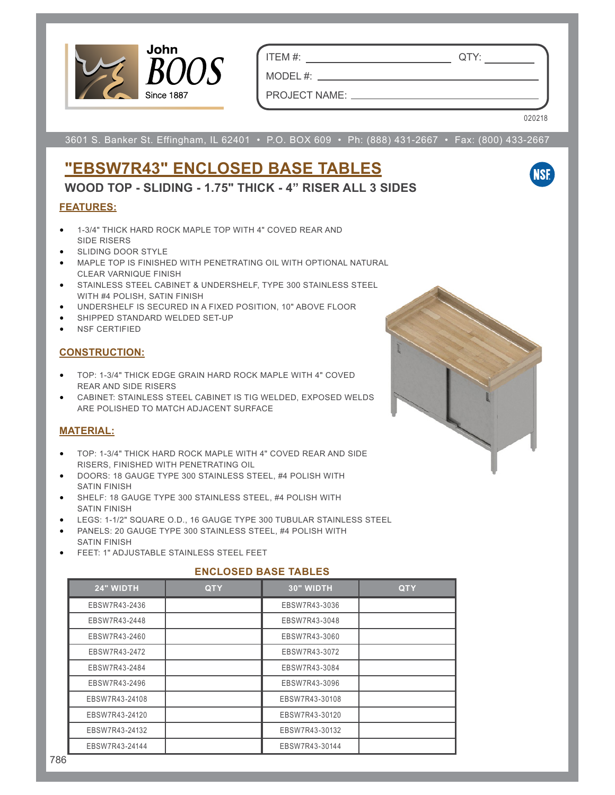

ITEM #: QTY:

PROJECT NAME:

MODEL #:

020218

**NSF** 

3601 S. Banker St. Effingham, IL 62401 • P.O. BOX 609 • Ph: (888) 431-2667 • Fax: (800) 433-2667

# **"EBSW7R43" ENCLOSED BASE TABLES**

**WOOD TOP - SLIDING - 1.75" THICK - 4" RISER ALL 3 SIDES**

## **FEATURES:**

- 1-3/4" THICK HARD ROCK MAPLE TOP WITH 4" COVED REAR AND SIDE RISERS
- SLIDING DOOR STYLE
- MAPLE TOP IS FINISHED WITH PENETRATING OIL WITH OPTIONAL NATURAL CLEAR VARNIQUE FINISH
- STAINLESS STEEL CABINET & UNDERSHELF, TYPE 300 STAINLESS STEEL WITH #4 POLISH, SATIN FINISH
- UNDERSHELF IS SECURED IN A FIXED POSITION, 10" ABOVE FLOOR
- SHIPPED STANDARD WELDED SET-UP
- NSF CERTIFIED

## **CONSTRUCTION:**

- TOP: 1-3/4" THICK EDGE GRAIN HARD ROCK MAPLE WITH 4" COVED REAR AND SIDE RISERS
- CABINET: STAINLESS STEEL CABINET IS TIG WELDED, EXPOSED WELDS ARE POLISHED TO MATCH ADJACENT SURFACE

### **MATERIAL:**

- TOP: 1-3/4" THICK HARD ROCK MAPLE WITH 4" COVED REAR AND SIDE RISERS, FINISHED WITH PENETRATING OIL
- DOORS: 18 GAUGE TYPE 300 STAINLESS STEEL, #4 POLISH WITH SATIN FINISH
- SHELF: 18 GAUGE TYPE 300 STAINLESS STEEL, #4 POLISH WITH SATIN FINISH
- LEGS: 1-1/2" SQUARE O.D., 16 GAUGE TYPE 300 TUBULAR STAINLESS STEEL
- PANELS: 20 GAUGE TYPE 300 STAINLESS STEEL, #4 POLISH WITH SATIN FINISH
- FEET: 1" ADJUSTABLE STAINLESS STEEL FEET

### **ENCLOSED BASE TABLES**

| 24" WIDTH      | <b>QTY</b> | 30" WIDTH      | <b>QTY</b> |
|----------------|------------|----------------|------------|
| EBSW7R43-2436  |            | EBSW7R43-3036  |            |
| EBSW7R43-2448  |            | EBSW7R43-3048  |            |
| EBSW7R43-2460  |            | EBSW7R43-3060  |            |
| EBSW7R43-2472  |            | EBSW7R43-3072  |            |
| EBSW7R43-2484  |            | EBSW7R43-3084  |            |
| EBSW7R43-2496  |            | EBSW7R43-3096  |            |
| EBSW7R43-24108 |            | EBSW7R43-30108 |            |
| EBSW7R43-24120 |            | EBSW7R43-30120 |            |
| EBSW7R43-24132 |            | EBSW7R43-30132 |            |
| EBSW7R43-24144 |            | EBSW7R43-30144 |            |